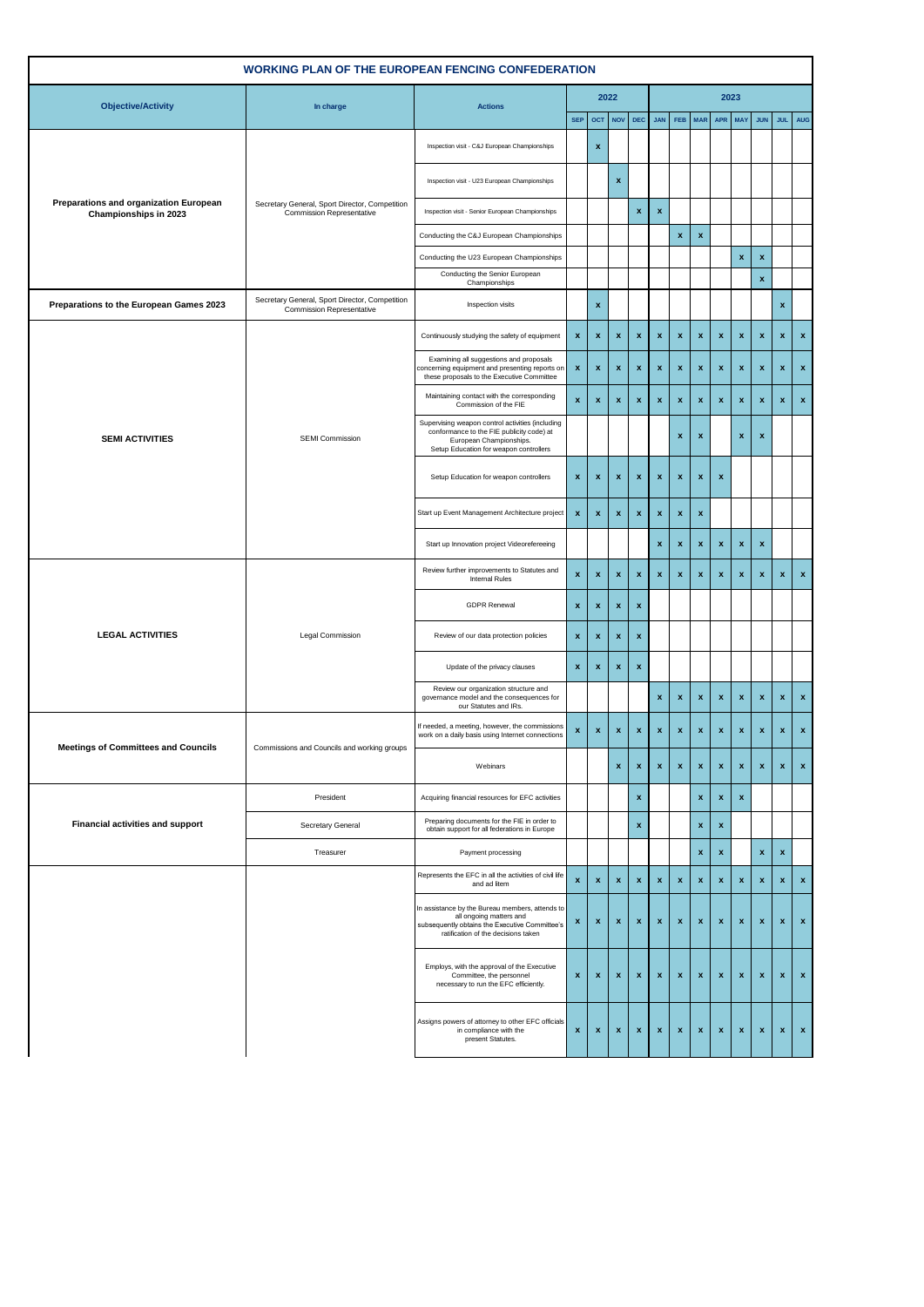| <b>WORKING PLAN OF THE EUROPEAN FENCING CONFEDERATION</b>       |                                                                                    |                                                                                                                                                                     |                                          |                    |                    |                           |                    |                    |                    |                    |                           |                                                                                                                                                                                                                                                                                                                                                                                                                                           |                    |              |
|-----------------------------------------------------------------|------------------------------------------------------------------------------------|---------------------------------------------------------------------------------------------------------------------------------------------------------------------|------------------------------------------|--------------------|--------------------|---------------------------|--------------------|--------------------|--------------------|--------------------|---------------------------|-------------------------------------------------------------------------------------------------------------------------------------------------------------------------------------------------------------------------------------------------------------------------------------------------------------------------------------------------------------------------------------------------------------------------------------------|--------------------|--------------|
| <b>Objective/Activity</b>                                       | In charge                                                                          | <b>Actions</b>                                                                                                                                                      | 2022<br><b>NOV</b><br><b>SEP</b><br> OCT |                    |                    |                           |                    |                    |                    |                    | 2023                      |                                                                                                                                                                                                                                                                                                                                                                                                                                           |                    |              |
|                                                                 |                                                                                    |                                                                                                                                                                     |                                          |                    |                    | <b>DEC</b>                | <b>JAN</b>         | <b>FEB</b>         | <b>MAR</b>         | APR                | <b>MAY</b>                | <b>JUN</b>                                                                                                                                                                                                                                                                                                                                                                                                                                |                    | JUL AUG      |
|                                                                 |                                                                                    | Inspection visit - C&J European Championships                                                                                                                       |                                          | $\pmb{\mathsf{x}}$ |                    |                           |                    |                    |                    |                    |                           |                                                                                                                                                                                                                                                                                                                                                                                                                                           |                    |              |
|                                                                 |                                                                                    | Inspection visit - U23 European Championships                                                                                                                       |                                          |                    | $\pmb{\mathsf{x}}$ |                           |                    |                    |                    |                    |                           |                                                                                                                                                                                                                                                                                                                                                                                                                                           |                    |              |
| Preparations and organization European<br>Championships in 2023 | Secretary General, Sport Director, Competition<br>Commission Representative        | Inspection visit - Senior European Championships                                                                                                                    |                                          |                    |                    | x                         | $\pmb{\mathsf{x}}$ |                    |                    |                    |                           |                                                                                                                                                                                                                                                                                                                                                                                                                                           |                    |              |
|                                                                 |                                                                                    | Conducting the C&J European Championships                                                                                                                           |                                          |                    |                    |                           |                    | $\pmb{\mathsf{x}}$ | $\pmb{\mathsf{x}}$ |                    |                           |                                                                                                                                                                                                                                                                                                                                                                                                                                           |                    |              |
|                                                                 |                                                                                    | Conducting the U23 European Championships                                                                                                                           |                                          |                    |                    |                           |                    |                    |                    |                    | $\pmb{\mathsf{x}}$        | $\pmb{\mathsf{x}}$                                                                                                                                                                                                                                                                                                                                                                                                                        |                    |              |
|                                                                 |                                                                                    | Conducting the Senior European<br>Championships                                                                                                                     |                                          |                    |                    |                           |                    |                    |                    |                    |                           | $\pmb{\mathsf{x}}$<br>$\boldsymbol{\mathrm{x}}$<br>$\pmb{\mathsf{x}}$<br>$\pmb{\mathsf{x}}$<br>$\pmb{\mathsf{x}}$<br>$\boldsymbol{\mathsf{x}}$<br>$\pmb{\mathsf{x}}$<br>$\pmb{\mathsf{x}}$<br>$\pmb{\mathsf{x}}$<br>$\pmb{\mathsf{x}}$<br>x<br>$\pmb{\mathsf{x}}$<br>$\pmb{\mathsf{x}}$<br>$\pmb{\mathsf{x}}$<br>$\pmb{\mathsf{x}}$<br>$\pmb{\mathsf{x}}$<br>$\pmb{\mathsf{x}}$<br>$\boldsymbol{\mathsf{x}}$<br>$\boldsymbol{\mathsf{x}}$ |                    |              |
| Preparations to the European Games 2023                         | Secretary General, Sport Director, Competition<br><b>Commission Representative</b> | Inspection visits                                                                                                                                                   |                                          | $\pmb{\mathsf{x}}$ |                    |                           |                    |                    |                    |                    |                           |                                                                                                                                                                                                                                                                                                                                                                                                                                           | $\pmb{\mathsf{x}}$ |              |
|                                                                 |                                                                                    | Continuously studying the safety of equipment                                                                                                                       | $\pmb{\mathsf{x}}$                       | $\pmb{\mathsf{x}}$ | $\pmb{\mathsf{x}}$ | $\boldsymbol{\mathrm{x}}$ | $\pmb{\mathsf{x}}$ | $\pmb{\mathsf{x}}$ | $\pmb{\mathsf{x}}$ | $\pmb{\mathsf{x}}$ |                           |                                                                                                                                                                                                                                                                                                                                                                                                                                           | $\pmb{\mathsf{x}}$ | $\mathbf x$  |
|                                                                 |                                                                                    | Examining all suggestions and proposals<br>concerning equipment and presenting reports on<br>these proposals to the Executive Committee                             | $\pmb{\mathsf{x}}$                       | $\pmb{\mathsf{x}}$ | $\pmb{\mathsf{x}}$ | $\boldsymbol{\mathrm{x}}$ | $\pmb{\mathsf{x}}$ | $\pmb{\mathsf{x}}$ | $\pmb{\mathsf{x}}$ | $\pmb{\mathsf{x}}$ |                           |                                                                                                                                                                                                                                                                                                                                                                                                                                           | $\pmb{\mathsf{x}}$ | $\mathbf x$  |
|                                                                 |                                                                                    | Maintaining contact with the corresponding<br>Commission of the FIE                                                                                                 | $\pmb{\mathsf{x}}$                       | $\pmb{\mathsf{x}}$ | $\pmb{\mathsf{x}}$ | $\pmb{\mathsf{x}}$        | $\pmb{\mathsf{x}}$ | $\pmb{\mathsf{x}}$ | $\pmb{\mathsf{x}}$ | $\pmb{\mathsf{x}}$ |                           |                                                                                                                                                                                                                                                                                                                                                                                                                                           | $\mathbf{x}$       | $\mathbf x$  |
| <b>SEMI ACTIVITIES</b>                                          | <b>SEMI Commission</b>                                                             | Supervising weapon control activities (including<br>conformance to the FIE publicity code) at<br>European Championships.<br>Setup Education for weapon controllers  |                                          |                    |                    |                           |                    | $\pmb{\mathsf{x}}$ | $\pmb{\mathsf{x}}$ |                    |                           |                                                                                                                                                                                                                                                                                                                                                                                                                                           |                    |              |
|                                                                 |                                                                                    | Setup Education for weapon controllers                                                                                                                              | $\pmb{\mathsf{x}}$                       | $\pmb{\mathsf{x}}$ | $\pmb{\mathsf{x}}$ | $\boldsymbol{\mathrm{x}}$ | $\pmb{\mathsf{x}}$ | $\pmb{\mathsf{x}}$ | $\pmb{\mathsf{x}}$ | $\pmb{\mathsf{x}}$ |                           |                                                                                                                                                                                                                                                                                                                                                                                                                                           |                    |              |
|                                                                 |                                                                                    | Start up Event Management Architecture project                                                                                                                      | $\pmb{\mathsf{x}}$                       | $\pmb{\mathsf{x}}$ | $\pmb{\mathsf{x}}$ | $\boldsymbol{\mathrm{x}}$ | $\pmb{\mathsf{x}}$ | $\pmb{\mathsf{x}}$ | x                  |                    |                           |                                                                                                                                                                                                                                                                                                                                                                                                                                           |                    |              |
|                                                                 |                                                                                    | Start up Innovation project Videorefereeing                                                                                                                         |                                          |                    |                    |                           | x<br>x<br>x<br>x   |                    |                    |                    |                           |                                                                                                                                                                                                                                                                                                                                                                                                                                           |                    |              |
|                                                                 |                                                                                    | Review further improvements to Statutes and<br><b>Internal Rules</b>                                                                                                | $\pmb{\mathsf{x}}$                       | $\pmb{\mathsf{x}}$ | $\pmb{\mathsf{x}}$ | $\boldsymbol{\mathrm{x}}$ | $\pmb{\mathsf{x}}$ | $\pmb{\mathsf{x}}$ | $\pmb{\mathsf{x}}$ | $\pmb{\mathsf{x}}$ |                           |                                                                                                                                                                                                                                                                                                                                                                                                                                           | $\pmb{\mathsf{x}}$ | $\mathbf x$  |
|                                                                 | Legal Commission                                                                   | <b>GDPR Renewal</b>                                                                                                                                                 | $\pmb{\mathsf{x}}$                       | $\pmb{\mathsf{x}}$ | $\pmb{\mathsf{x}}$ | $\boldsymbol{\mathrm{x}}$ |                    |                    |                    |                    |                           |                                                                                                                                                                                                                                                                                                                                                                                                                                           |                    |              |
| <b>LEGAL ACTIVITIES</b>                                         |                                                                                    | Review of our data protection policies                                                                                                                              | $\pmb{\mathsf{x}}$                       | $\pmb{\mathsf{x}}$ | $\pmb{\mathsf{x}}$ | $\boldsymbol{\mathrm{x}}$ |                    |                    |                    |                    |                           |                                                                                                                                                                                                                                                                                                                                                                                                                                           |                    |              |
|                                                                 |                                                                                    | Update of the privacy clauses                                                                                                                                       | $\pmb{\mathsf{x}}$                       | $\pmb{\mathsf{x}}$ | $\pmb{\mathsf{x}}$ | $\boldsymbol{\mathrm{x}}$ |                    |                    |                    |                    |                           |                                                                                                                                                                                                                                                                                                                                                                                                                                           |                    |              |
|                                                                 |                                                                                    | Review our organization structure and<br>governance model and the consequences for<br>our Statutes and IRs.                                                         |                                          |                    |                    |                           | x                  | x                  | x                  | x                  |                           |                                                                                                                                                                                                                                                                                                                                                                                                                                           | x                  | $\mathbf x$  |
| <b>Meetings of Committees and Councils</b>                      | Commissions and Councils and working groups                                        | If needed, a meeting, however, the commissions<br>work on a daily basis using Internet connections                                                                  | $\pmb{\mathsf{x}}$                       | $\pmb{\mathsf{x}}$ | $\pmb{\mathsf{x}}$ | $\boldsymbol{\mathsf{x}}$ | $\pmb{\mathsf{x}}$ | $\pmb{\mathsf{x}}$ | $\pmb{\mathsf{x}}$ | $\pmb{\mathsf{x}}$ |                           |                                                                                                                                                                                                                                                                                                                                                                                                                                           | $\pmb{\mathsf{x}}$ | $\mathbf{x}$ |
|                                                                 |                                                                                    | Webinars                                                                                                                                                            |                                          |                    | $\pmb{\mathsf{x}}$ | $\boldsymbol{\mathsf{x}}$ | $\pmb{\mathsf{x}}$ | $\pmb{\mathsf{x}}$ | $\pmb{\mathsf{x}}$ | $\pmb{\mathsf{x}}$ |                           |                                                                                                                                                                                                                                                                                                                                                                                                                                           | $\pmb{\mathsf{x}}$ | $\mathbf x$  |
|                                                                 | President                                                                          | Acquiring financial resources for EFC activities                                                                                                                    |                                          |                    |                    | $\boldsymbol{\mathrm{x}}$ |                    |                    | x                  | $\mathbf x$        | $\boldsymbol{\mathrm{x}}$ |                                                                                                                                                                                                                                                                                                                                                                                                                                           |                    |              |
| Financial activities and support                                | Secretary General                                                                  | Preparing documents for the FIE in order to<br>obtain support for all federations in Europe                                                                         |                                          |                    |                    | $\boldsymbol{\mathrm{x}}$ |                    |                    | x                  | $\pmb{\mathsf{x}}$ |                           |                                                                                                                                                                                                                                                                                                                                                                                                                                           |                    |              |
|                                                                 | Treasurer                                                                          | Payment processing                                                                                                                                                  |                                          |                    |                    |                           |                    |                    | $\pmb{\mathsf{x}}$ | $\pmb{\mathsf{x}}$ |                           | $\pmb{\mathsf{x}}$                                                                                                                                                                                                                                                                                                                                                                                                                        | $\pmb{\mathsf{x}}$ |              |
|                                                                 |                                                                                    | Represents the EFC in all the activities of civil life<br>and ad litem                                                                                              | $\pmb{\mathsf{x}}$                       | $\pmb{\mathsf{x}}$ | $\pmb{\mathsf{x}}$ | $\boldsymbol{\mathrm{x}}$ | $\pmb{\mathsf{x}}$ | $\pmb{\mathsf{x}}$ | $\pmb{\mathsf{x}}$ | $\pmb{\mathsf{x}}$ | $\boldsymbol{\mathrm{x}}$ | $\pmb{\mathsf{x}}$                                                                                                                                                                                                                                                                                                                                                                                                                        | $\pmb{\mathsf{x}}$ | $\mathbf x$  |
|                                                                 |                                                                                    | In assistance by the Bureau members, attends to<br>all ongoing matters and<br>subsequently obtains the Executive Committee's<br>ratification of the decisions taken | $\pmb{\mathsf{x}}$                       | $\pmb{\mathsf{x}}$ | $\pmb{\mathsf{x}}$ | $\pmb{\mathsf{x}}$        | $\pmb{\mathsf{x}}$ | $\pmb{\mathsf{x}}$ | x                  | $\pmb{\mathsf{x}}$ | $\pmb{\mathsf{x}}$        | $\pmb{\mathsf{x}}$                                                                                                                                                                                                                                                                                                                                                                                                                        | $\pmb{\mathsf{x}}$ | $\mathbf x$  |
|                                                                 |                                                                                    | Employs, with the approval of the Executive<br>Committee, the personnel<br>necessary to run the EFC efficiently.                                                    | $\boldsymbol{\mathsf{x}}$                | $\pmb{\mathsf{x}}$ | $\pmb{\mathsf{x}}$ | $\pmb{\mathsf{x}}$        | $\mathbf x$        | $\pmb{\mathsf{x}}$ | $\pmb{\mathsf{x}}$ | $\pmb{\mathsf{x}}$ | $\boldsymbol{\mathsf{x}}$ | $\boldsymbol{\mathsf{x}}$                                                                                                                                                                                                                                                                                                                                                                                                                 | $\mathbf{x}$       | $\mathbf x$  |
|                                                                 |                                                                                    | Assigns powers of attorney to other EFC officials<br>in compliance with the<br>present Statutes.                                                                    | $\pmb{\mathsf{x}}$                       | $\pmb{\mathsf{x}}$ | $\pmb{\mathsf{x}}$ | $\pmb{\mathsf{x}}$        | $\pmb{\mathsf{x}}$ | $\pmb{\mathsf{x}}$ | $\pmb{\mathsf{x}}$ | $\pmb{\mathsf{x}}$ | $\pmb{\mathsf{x}}$        | $\pmb{\mathsf{x}}$                                                                                                                                                                                                                                                                                                                                                                                                                        | $\pmb{\mathsf{x}}$ | $\mathbf{x}$ |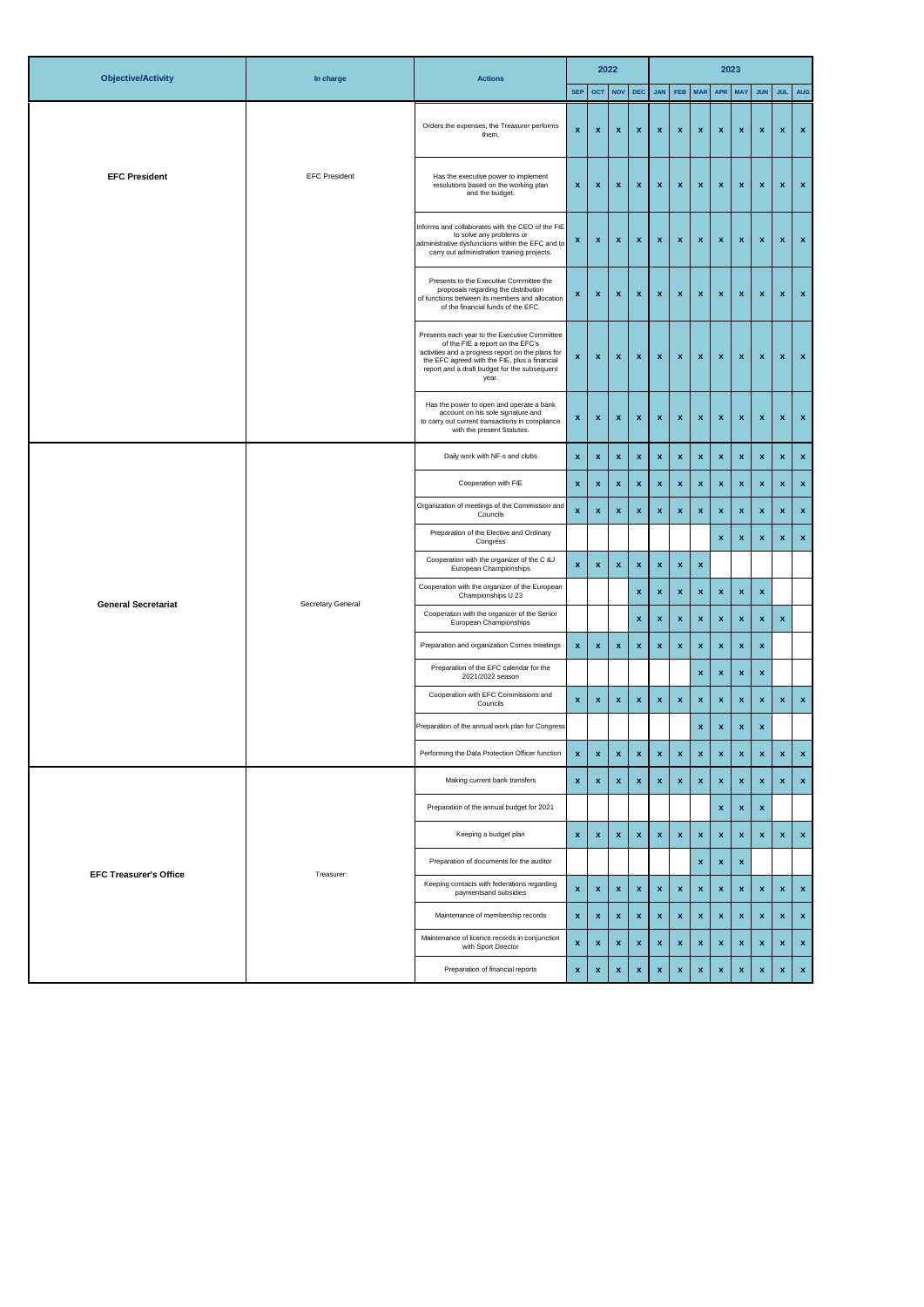| <b>Objective/Activity</b>     | In charge<br><b>Actions</b> |                                                                                                                                                                                                                                                  |                           | 2022               |                    |                           |                    |                    |                    |                    | 2023                      |                           |                    |                           |  |
|-------------------------------|-----------------------------|--------------------------------------------------------------------------------------------------------------------------------------------------------------------------------------------------------------------------------------------------|---------------------------|--------------------|--------------------|---------------------------|--------------------|--------------------|--------------------|--------------------|---------------------------|---------------------------|--------------------|---------------------------|--|
|                               |                             |                                                                                                                                                                                                                                                  | <b>SEP</b>                | OCT NOV            |                    | DEC                       | <b>JAN</b>         | FEB                | <b>MAR</b>         | APR                | <b>MAY</b>                | <b>JUN</b>                | <b>JUL</b>         | <b>AUG</b>                |  |
|                               |                             | Orders the expenses; the Treasurer performs<br>them.                                                                                                                                                                                             | $\pmb{\mathsf{x}}$        | $\pmb{\mathsf{x}}$ | $\pmb{\mathsf{x}}$ | $\boldsymbol{\mathrm{x}}$ | $\pmb{\mathsf{x}}$ | $\pmb{\mathsf{x}}$ | $\pmb{\mathsf{x}}$ | $\pmb{\mathsf{x}}$ | $\pmb{\mathsf{x}}$        | $\pmb{\mathsf{x}}$        | $\pmb{\mathsf{x}}$ | $\mathbf x$               |  |
| <b>EFC President</b>          | <b>EFC President</b>        | Has the executive power to implement<br>resolutions based on the working plan<br>and the budget.                                                                                                                                                 | $\pmb{\mathsf{x}}$        | $\pmb{\mathsf{x}}$ | $\pmb{\mathsf{x}}$ | $\boldsymbol{x}$          | x                  | $\pmb{\mathsf{x}}$ | $\pmb{\mathsf{x}}$ | $\pmb{\mathsf{x}}$ | $\pmb{\mathsf{x}}$        | $\boldsymbol{\mathsf{x}}$ | $\pmb{\mathsf{x}}$ | $\mathbf{x}$              |  |
|                               |                             | Informs and collaborates with the CEO of the FIE<br>to solve any problems or<br>administrative dysfunctions within the EFC and to<br>carry out administration training projects.                                                                 | $\pmb{\mathsf{x}}$        | $\pmb{\mathsf{x}}$ | $\pmb{\mathsf{x}}$ | $\boldsymbol{\mathrm{x}}$ | $\pmb{\mathsf{x}}$ | $\pmb{\mathsf{x}}$ | $\pmb{\mathsf{x}}$ | $\pmb{\mathsf{x}}$ | $\pmb{\mathsf{x}}$        | $\boldsymbol{\mathsf{x}}$ | $\pmb{\mathsf{x}}$ | $\mathbf{x}$              |  |
|                               |                             | Presents to the Executive Committee the<br>proposals regarding the distribution<br>of functions between its members and allocation<br>of the financial funds of the EFC.                                                                         | $\pmb{\mathsf{x}}$        | $\pmb{\mathsf{x}}$ | $\pmb{\mathsf{x}}$ | $\pmb{\mathsf{x}}$        | $\pmb{\mathsf{x}}$ | $\pmb{\mathsf{x}}$ | x                  | $\pmb{\mathsf{x}}$ | $\pmb{\mathsf{x}}$        | $\pmb{\mathsf{x}}$        | $\pmb{\mathsf{x}}$ | $\mathbf x$               |  |
|                               |                             | Presents each year to the Executive Committee<br>of the FIE a report on the EFC's<br>activities and a progress report on the plans for<br>the EFC agreed with the FIE, plus a financial<br>report and a draft budget for the subsequent<br>year. | $\pmb{\mathsf{x}}$        | $\pmb{\mathsf{x}}$ | $\pmb{\mathsf{x}}$ | $\boldsymbol{\mathsf{x}}$ | $\pmb{\mathsf{x}}$ | $\pmb{\mathsf{x}}$ | $\pmb{\mathsf{x}}$ | $\pmb{\mathsf{x}}$ | $\pmb{\mathsf{x}}$        | $\boldsymbol{\mathsf{x}}$ | $\pmb{\mathsf{x}}$ | $\mathbf x$               |  |
|                               |                             | Has the power to open and operate a bank<br>account on his sole signature and<br>to carry out current transactions in compliance<br>with the present Statutes.                                                                                   | $\boldsymbol{\mathsf{x}}$ | $\pmb{\mathsf{x}}$ | $\pmb{\mathsf{x}}$ | $\boldsymbol{\mathrm{x}}$ | $\pmb{\mathsf{x}}$ | $\pmb{\mathsf{x}}$ | x                  | $\mathbf x$        | $\pmb{\mathsf{x}}$        | $\boldsymbol{\mathsf{x}}$ | $\pmb{\mathsf{x}}$ | $\mathbf{x}$              |  |
|                               |                             | Daily work with NF-s and clubs                                                                                                                                                                                                                   | $\pmb{\mathsf{x}}$        | $\pmb{\mathsf{x}}$ | $\pmb{\mathsf{x}}$ | $\boldsymbol{\mathsf{x}}$ | $\pmb{\mathsf{x}}$ | $\pmb{\mathsf{x}}$ | $\pmb{\mathsf{x}}$ | $\pmb{\mathsf{x}}$ | $\pmb{\mathsf{x}}$        | $\pmb{\mathsf{x}}$        | $\pmb{\mathsf{x}}$ | $\mathbf x$               |  |
|                               |                             | Cooperation with FIE                                                                                                                                                                                                                             | $\pmb{\mathsf{x}}$        | $\pmb{\mathsf{x}}$ | $\pmb{\mathsf{x}}$ | $\pmb{\mathsf{x}}$        | $\pmb{\mathsf{x}}$ | $\pmb{\mathsf{x}}$ | x                  | $\pmb{\mathsf{x}}$ | $\pmb{\mathsf{x}}$        | $\pmb{\mathsf{x}}$        | $\pmb{\mathsf{x}}$ | $\boldsymbol{\mathrm{x}}$ |  |
|                               | Secretary General           | Organization of meetings of the Commission and<br>Councils                                                                                                                                                                                       | $\pmb{\mathsf{x}}$        | $\pmb{\mathsf{x}}$ | $\pmb{\mathsf{x}}$ | $\boldsymbol{\mathrm{x}}$ | $\pmb{\mathsf{x}}$ | $\pmb{\mathsf{x}}$ | x                  | $\pmb{\mathsf{x}}$ | $\pmb{\mathsf{x}}$        | $\pmb{\mathsf{x}}$        | $\pmb{\mathsf{x}}$ | $\boldsymbol{\mathrm{x}}$ |  |
|                               |                             | Preparation of the Elective and Ordinary<br>Congress                                                                                                                                                                                             |                           |                    |                    |                           |                    |                    |                    | x                  | $\pmb{\mathsf{x}}$        | $\pmb{\mathsf{x}}$        | $\pmb{\mathsf{x}}$ | $\mathbf{x}$              |  |
|                               |                             | Cooperation with the organizer of the C &J<br>European Championships                                                                                                                                                                             | $\pmb{\mathsf{x}}$        | $\pmb{\mathsf{x}}$ | $\pmb{\mathsf{x}}$ | $\boldsymbol{\mathrm{x}}$ | x                  | $\pmb{\mathsf{x}}$ | x                  |                    |                           |                           |                    |                           |  |
|                               |                             | Cooperation with the organizer of the European<br>Championships U 23                                                                                                                                                                             |                           |                    |                    | $\pmb{\mathsf{x}}$        | $\pmb{\mathsf{x}}$ | $\pmb{\mathsf{x}}$ | x                  | $\pmb{\mathsf{x}}$ | $\pmb{\mathsf{x}}$        | $\pmb{\mathsf{x}}$        |                    |                           |  |
| <b>General Secretariat</b>    |                             | Cooperation with the organizer of the Senior<br>European Championships                                                                                                                                                                           |                           |                    |                    | $\pmb{\mathsf{x}}$        | $\pmb{\mathsf{x}}$ | $\pmb{\mathsf{x}}$ | $\pmb{\mathsf{x}}$ | $\pmb{\mathsf{x}}$ | $\pmb{\mathsf{x}}$        | $\pmb{\mathsf{x}}$        | $\pmb{\mathsf{x}}$ |                           |  |
|                               |                             | Preparation and organization Comex meetings                                                                                                                                                                                                      | $\pmb{\mathsf{x}}$        | $\pmb{\mathsf{x}}$ | $\pmb{\mathsf{x}}$ | $\pmb{\mathsf{x}}$        | $\pmb{\mathsf{x}}$ | $\pmb{\mathsf{x}}$ | $\pmb{\mathsf{x}}$ | $\pmb{\mathsf{x}}$ | $\pmb{\mathsf{x}}$        | $\pmb{\mathsf{x}}$        |                    |                           |  |
|                               |                             | Preparation of the EFC calendar for the<br>2021/2022 season                                                                                                                                                                                      |                           |                    |                    |                           |                    |                    | $\pmb{\mathsf{x}}$ | $\pmb{\mathsf{x}}$ | $\pmb{\mathsf{x}}$        | $\pmb{\mathsf{x}}$        |                    |                           |  |
|                               |                             | Cooperation with EFC Commissions and<br>Councils                                                                                                                                                                                                 | $\boldsymbol{\mathsf{x}}$ | $\pmb{\mathsf{x}}$ | $\pmb{\mathsf{x}}$ | $\pmb{\mathsf{x}}$        | x                  | $\pmb{\mathsf{x}}$ | x                  | x                  | X                         | $\boldsymbol{x}$          | x                  | $\boldsymbol{\mathrm{x}}$ |  |
|                               |                             | Preparation of the annual work plan for Congress                                                                                                                                                                                                 |                           |                    |                    |                           |                    |                    | $\pmb{\mathsf{x}}$ | $\pmb{\mathsf{x}}$ | $\pmb{\mathsf{x}}$        |                           |                    |                           |  |
|                               |                             | Performing the Data Protection Officer function                                                                                                                                                                                                  | $\pmb{\mathsf{x}}$        | $\pmb{\mathsf{x}}$ | $\pmb{\mathsf{x}}$ | x                         | x                  |                    |                    |                    |                           |                           |                    | $\bar{\mathbf{x}}$        |  |
|                               |                             | Making current bank transfers                                                                                                                                                                                                                    | $\pmb{\mathsf{x}}$        | $\pmb{\mathsf{x}}$ | $\pmb{\mathsf{x}}$ | $\pmb{\mathsf{x}}$        | $\mathbf{x}$       | $\pmb{\mathsf{x}}$ | $\pmb{\mathsf{x}}$ | $\pmb{\mathsf{x}}$ | $\pmb{\mathsf{x}}$        | $\pmb{\mathsf{x}}$        | $\pmb{\mathsf{x}}$ | $\boldsymbol{\mathrm{x}}$ |  |
|                               |                             | Preparation of the annual budget for 2021                                                                                                                                                                                                        |                           |                    |                    |                           |                    |                    |                    | x                  | $\boldsymbol{\mathsf{x}}$ | $\pmb{\mathsf{x}}$        |                    |                           |  |
|                               |                             | Keeping a budget plan                                                                                                                                                                                                                            | $\pmb{\mathsf{x}}$        | $\pmb{\mathsf{x}}$ | $\pmb{\mathsf{x}}$ | $\pmb{\mathsf{x}}$        | $\pmb{\mathsf{x}}$ | $\pmb{\mathsf{x}}$ | $\pmb{\mathsf{x}}$ | $\pmb{\mathsf{x}}$ | $\boldsymbol{x}$          | $\pmb{\mathsf{x}}$        | $\pmb{\mathsf{x}}$ | $\mathbf x$               |  |
| <b>EFC Treasurer's Office</b> |                             | Preparation of documents for the auditor                                                                                                                                                                                                         |                           |                    |                    |                           |                    |                    | x                  | $\mathbf x$        | $\boldsymbol{\mathrm{x}}$ |                           |                    |                           |  |
|                               | Treasurer                   | Keeping contacts with federations regarding<br>paymentsand subsidies                                                                                                                                                                             | $\pmb{\mathsf{x}}$        | $\pmb{\mathsf{x}}$ | $\pmb{\mathsf{x}}$ | $\boldsymbol{\mathsf{x}}$ | $\pmb{\mathsf{x}}$ | $\pmb{\mathsf{x}}$ | $\pmb{\mathsf{x}}$ | $\pmb{\mathsf{x}}$ | $\boldsymbol{\mathsf{x}}$ | $\pmb{\mathsf{x}}$        | $\pmb{\mathsf{x}}$ | $\mathbf{x}$              |  |
|                               |                             | Maintenance of membership records                                                                                                                                                                                                                | $\pmb{\mathsf{x}}$        | $\pmb{\mathsf{x}}$ | $\pmb{\mathsf{x}}$ | $\pmb{\mathsf{x}}$        | $\pmb{\mathsf{x}}$ | $\pmb{\mathsf{x}}$ | $\pmb{\mathsf{x}}$ | $\pmb{\mathsf{x}}$ | $\pmb{\mathsf{x}}$        | $\pmb{\mathsf{x}}$        | $\pmb{\mathsf{x}}$ | $\boldsymbol{\mathrm{x}}$ |  |
|                               |                             | Maintenance of licence records in conjunction<br>with Sport Director                                                                                                                                                                             | $\pmb{\mathsf{x}}$        | $\pmb{\mathsf{x}}$ | $\pmb{\mathsf{x}}$ | $\boldsymbol{\mathrm{x}}$ | $\pmb{\mathsf{x}}$ | $\pmb{\mathsf{x}}$ | $\pmb{\mathsf{x}}$ | $\pmb{\mathsf{x}}$ | $\boldsymbol{\mathrm{x}}$ | $\pmb{\mathsf{x}}$        | $\pmb{\mathsf{x}}$ | $\mathbf{x}$              |  |
|                               |                             | Preparation of financial reports                                                                                                                                                                                                                 | x                         | x                  | $\pmb{\mathsf{x}}$ | $\boldsymbol{\mathrm{x}}$ | x                  | x                  | x                  | x                  | x                         | x                         | x                  | $\boldsymbol{\mathrm{x}}$ |  |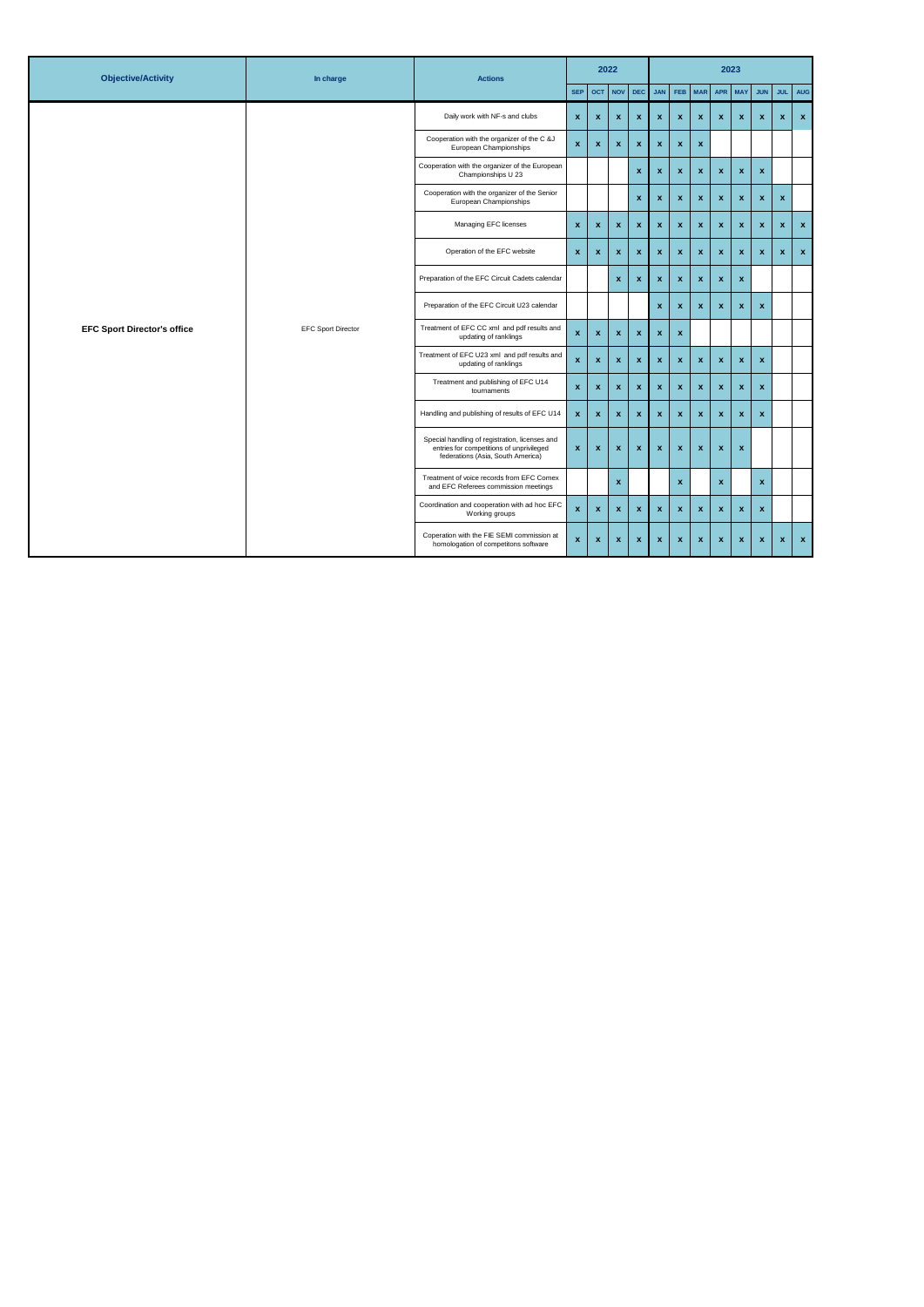| <b>Objective/Activity</b>          | In charge                 | <b>Actions</b>                                                                                                                  |                           |                           | 2022               |                           |                    |                    |              |                    | 2023               |                           |              |                    |
|------------------------------------|---------------------------|---------------------------------------------------------------------------------------------------------------------------------|---------------------------|---------------------------|--------------------|---------------------------|--------------------|--------------------|--------------|--------------------|--------------------|---------------------------|--------------|--------------------|
|                                    |                           |                                                                                                                                 | <b>SEP</b>                | <b>OCT</b>                | <b>NOV</b>         | <b>DEC</b>                | <b>JAN</b>         | <b>FEB</b>         | <b>MAR</b>   | <b>APR</b>         | <b>MAY</b>         | <b>JUN</b>                | JUL 1        | <b>AUG</b>         |
|                                    |                           | Daily work with NF-s and clubs                                                                                                  | $\boldsymbol{\mathsf{x}}$ | $\mathbf{x}$              | $\pmb{\mathsf{x}}$ | $\boldsymbol{\mathsf{x}}$ | $\mathbf x$        | $\pmb{\chi}$       | $\mathbf{x}$ | $\mathbf{x}$       | $\mathbf{x}$       | $\mathbf{x}$              | $\mathbf{x}$ | $\pmb{\mathsf{x}}$ |
|                                    |                           | Cooperation with the organizer of the C &J<br>European Championships                                                            | $\boldsymbol{\mathsf{x}}$ | $\boldsymbol{\mathsf{x}}$ | $\pmb{\mathsf{x}}$ | $\pmb{\mathsf{x}}$        | $\mathbf{x}$       | $\pmb{\chi}$       | $\pmb{\chi}$ |                    |                    |                           |              |                    |
|                                    |                           | Cooperation with the organizer of the European<br>Championships U 23                                                            |                           |                           |                    | x                         | $\mathbf{x}$       | $\pmb{\chi}$       | $\mathbf{x}$ | $\mathbf x$        | x                  | $\boldsymbol{\mathsf{x}}$ |              |                    |
|                                    |                           | Cooperation with the organizer of the Senior<br>European Championships                                                          |                           |                           |                    | x                         | $\mathbf{x}$       | $\pmb{\chi}$       | $\mathbf{x}$ | $\pmb{\mathsf{x}}$ | x                  | $\pmb{\mathsf{x}}$        | $\mathbf{x}$ |                    |
|                                    |                           | Managing EFC licenses                                                                                                           | $\pmb{\mathsf{x}}$        | $\boldsymbol{\mathsf{x}}$ | $\pmb{\mathsf{x}}$ | $\boldsymbol{\mathsf{x}}$ | $\mathbf{x}$       | $\pmb{\chi}$       | $\mathbf{x}$ | $\mathbf x$        | $\mathbf{x}$       | $\boldsymbol{\mathsf{x}}$ | $\mathbf{x}$ | $\mathbf{x}$       |
| <b>EFC Sport Director's office</b> |                           | Operation of the EFC website                                                                                                    | $\pmb{\mathsf{x}}$        | $\boldsymbol{\mathsf{x}}$ | $\pmb{\mathsf{x}}$ | $\boldsymbol{\mathsf{x}}$ | $\mathbf{x}$       | $\mathbf x$        | $\mathbf x$  | $\mathbf x$        | $\mathbf{x}$       | $\boldsymbol{\mathsf{x}}$ | $\mathbf{x}$ | $\mathbf x$        |
|                                    |                           | Preparation of the EFC Circuit Cadets calendar                                                                                  |                           |                           | $\mathbf{x}$       | $\pmb{\mathsf{x}}$        | $\mathbf{x}$       | $\mathbf{x}$       | $\mathbf{x}$ | $\mathbf x$        | $\mathbf x$        |                           |              |                    |
|                                    |                           | Preparation of the EFC Circuit U23 calendar                                                                                     |                           |                           |                    |                           | $\mathbf x$        | $\pmb{\mathsf{x}}$ | $\mathbf x$  | $\pmb{\mathsf{x}}$ | $\mathbf x$        | $\boldsymbol{\mathsf{x}}$ |              |                    |
|                                    | <b>EFC Sport Director</b> | Treatment of EFC CC xml and pdf results and<br>updating of ranklings                                                            | $\boldsymbol{\mathsf{x}}$ | $\boldsymbol{\mathsf{x}}$ | $\pmb{\mathsf{x}}$ | $\boldsymbol{\mathsf{x}}$ | $\mathbf{x}$       | $\pmb{\mathsf{x}}$ |              |                    |                    |                           |              |                    |
|                                    |                           | Treatment of EFC U23 xml and pdf results and<br>updating of ranklings                                                           | $\pmb{\mathsf{x}}$        | $\boldsymbol{\mathsf{x}}$ | $\pmb{\mathsf{x}}$ | $\pmb{\mathsf{x}}$        | $\mathbf{x}$       | $\mathbf x$        | $\mathbf{x}$ | $\mathbf x$        | $\mathbf x$        | $\mathbf{x}$              |              |                    |
|                                    |                           | Treatment and publishing of EFC U14<br>tournaments                                                                              | $\boldsymbol{\mathsf{x}}$ | $\boldsymbol{\mathsf{x}}$ | $\pmb{\mathsf{x}}$ | $\pmb{\mathsf{x}}$        | $\mathbf{x}$       | $\mathbf x$        | $\mathbf{x}$ | $\mathbf{x}$       | $\mathbf{x}$       | $\mathbf{x}$              |              |                    |
|                                    |                           | Handling and publishing of results of EFC U14                                                                                   | $\boldsymbol{\mathsf{x}}$ | $\boldsymbol{\mathsf{x}}$ | $\pmb{\mathsf{x}}$ | $\boldsymbol{\mathsf{x}}$ | $\mathbf{x}$       | $\mathbf{x}$       | $\mathbf{x}$ | $\mathbf{x}$       | $\mathbf{x}$       | $\boldsymbol{\mathsf{x}}$ |              |                    |
|                                    |                           | Special handling of registration, licenses and<br>entries for competitions of unprivileged<br>federations (Asia, South America) | $\boldsymbol{\mathsf{x}}$ | $\mathbf{x}$              | $\mathbf{x}$       | $\mathbf{x}$              | $\mathbf{x}$       | $\mathbf{x}$       | $\mathbf{x}$ | $\mathbf x$        | $\pmb{\mathsf{x}}$ |                           |              |                    |
|                                    |                           | Treatment of voice records from EFC Comex<br>and EFC Referees commission meetings                                               |                           |                           | $\pmb{\mathsf{x}}$ |                           |                    | $\pmb{\chi}$       |              | $\mathbf x$        |                    | x                         |              |                    |
|                                    |                           | Coordination and cooperation with ad hoc EFC<br>Working groups                                                                  | $\boldsymbol{\mathsf{x}}$ | $\boldsymbol{\mathsf{x}}$ | $\mathbf{x}$       | $\mathbf{x}$              | $\mathbf{x}$       | $\mathbf{x}$       | $\mathbf{x}$ | $\mathbf x$        | $\mathbf x$        | $\mathbf{x}$              |              |                    |
|                                    |                           | Coperation with the FIE SEMI commission at<br>homologation of competitons software                                              | $\boldsymbol{\mathsf{x}}$ | $\boldsymbol{\mathsf{x}}$ | $\mathbf{x}$       | $\pmb{\mathsf{x}}$        | $\pmb{\mathsf{x}}$ | $\pmb{\chi}$       | $\pmb{\chi}$ | $\mathbf x$        | $\mathbf x$        | $\boldsymbol{\mathsf{x}}$ | $\mathbf{x}$ | $\mathbf{x}$       |